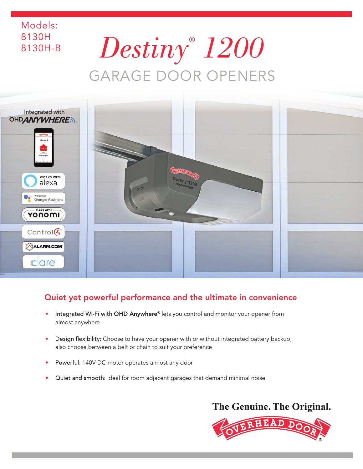# *Destiny® 1200*  GARAGE DOOR OPENERS

Models: 8130H

8130H-B



## Quiet yet powerful performance and the ultimate in convenience

- Integrated Wi-Fi with OHD Anywhere® lets you control and monitor your opener from almost anywhere
- Design flexibility: Choose to have your opener with or without integrated battery backup; also choose between a belt or chain to suit your preference
- Powerful: 140V DC motor operates almost any door
- Quiet and smooth: Ideal for room adjacent garages that demand minimal noise

# The Genuine. The Original.

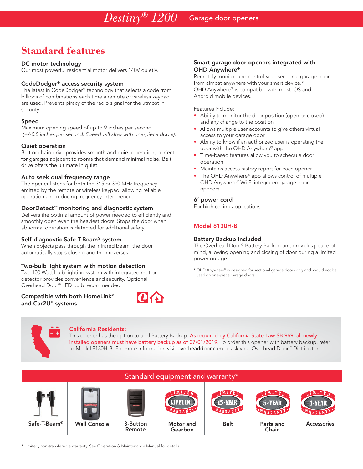# **Standard features**

### DC motor technology

Our most powerful residential motor delivers 140V quietly.

### CodeDodger® access security system

The latest in CodeDodger® technology that selects a code from billions of combinations each time a remote or wireless keypad are used. Prevents piracy of the radio signal for the utmost in security.

### Speed

Maximum opening speed of up to 9 inches per second. *(+/-0.5 inches per second. Speed will slow with one-piece doors).*

### Quiet operation

Belt or chain drive provides smooth and quiet operation, perfect for garages adjacent to rooms that demand minimal noise. Belt drive offers the ultimate in quiet.

### Auto seek dual frequency range

The opener listens for both the 315 or 390 MHz frequency emitted by the remote or wireless keypad, allowing reliable operation and reducing frequency interference.

### DoorDetect™ monitoring and diagnostic system

Delivers the optimal amount of power needed to efficiently and smoothly open even the heaviest doors. Stops the door when abnormal operation is detected for additional safety.

### Self-diagnostic Safe-T-Beam® system

When objects pass through the infrared beam, the door automatically stops closing and then reverses.

### Two-bulb light system with motion detection

Two 100 Watt bulb lighting system with integrated motion detector provides convenience and security. Optional Overhead Door® LED bulb recommended.

Compatible with both HomeLink® and Car2U® systems



### Smart garage door openers integrated with OHD Anywhere®

Remotely monitor and control your sectional garage door from almost anywhere with your smart device.\* OHD Anywhere® is compatible with most iOS and Android mobile devices.

Features include:

- Ability to monitor the door position (open or closed) and any change to the position
- Allows multiple user accounts to give others virtual access to your garage door
- Ability to know if an authorized user is operating the door with the OHD Anywhere® app
- Time-based features allow you to schedule door operation
- Maintains access history report for each opener
- The OHD Anywhere® app allows control of multiple OHD Anywhere® Wi-Fi integrated garage door openers

### 6' power cord

For high ceiling applications

### Model 8130H-B

### Battery Backup included

The Overhead Door® Battery Backup unit provides peace-ofmind, allowing opening and closing of door during a limited power outage.

\* OHD Anywhere® is designed for sectional garage doors only and should not be used on one-piece garage doors.

### California Residents:

This opener has the option to add Battery Backup. As required by California State Law SB-969, all newly installed openers must have battery backup as of 07/01/2019. To order this opener with battery backup, refer to Model 8130H-B. For more information visit overheaddoor.com or ask your Overhead Door™ Distributor.



\* Limited, non-transferable warranty. See Operation & Maintenance Manual for details.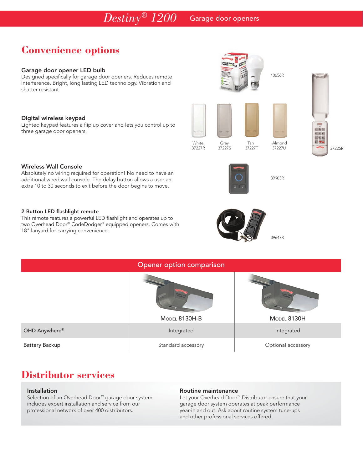# **Convenience options**

### Garage door opener LED bulb

Designed specifically for garage door openers. Reduces remote interference. Bright, long lasting LED technology. Vibration and shatter resistant.

### Digital wireless keypad

Lighted keypad features a flip up cover and lets you control up to three garage door openers.

### Wireless Wall Console

Absolutely no wiring required for operation! No need to have an additional wired wall console. The delay button allows a user an extra 10 to 30 seconds to exit before the door begins to move.

### 2-Button LED flashlight remote

This remote features a powerful LED flashlight and operates up to two Overhead Door® CodeDodger® equipped openers. Comes with 18" lanyard for carrying convenience.



White Gray Tan Almond<br>37227R 37227S 37227T 37227U

39903R

田梨園 石灰石 出転転  $\bullet$   $\mathbf{v}_{\mathbf{A}}$ 

40656R

37227R 37227S 37227T 37227U 37225R

| Opener option comparison |                    |                    |
|--------------------------|--------------------|--------------------|
|                          |                    |                    |
|                          | MODEL 8130H-B      | MODEL 8130H        |
| OHD Anywhere®            | Integrated         | Integrated         |
| <b>Battery Backup</b>    | Standard accessory | Optional accessory |

# **Distributor services**

### Installation

Selection of an Overhead Door™ garage door system includes expert installation and service from our professional network of over 400 distributors.

### Routine maintenance

Let your Overhead Door™ Distributor ensure that your garage door system operates at peak performance year-in and out. Ask about routine system tune-ups and other professional services offered.